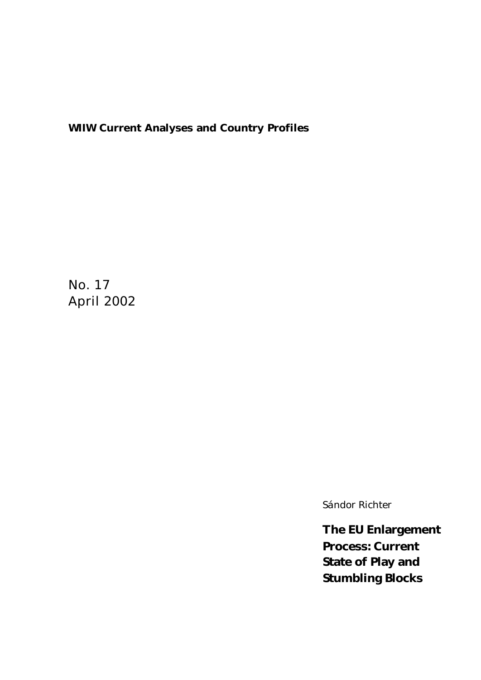## **WIIW Current Analyses and Country Profiles**

No. 17 April 2002

*Sándor Richter*

**The EU Enlargement Process: Current State of Play and Stumbling Blocks**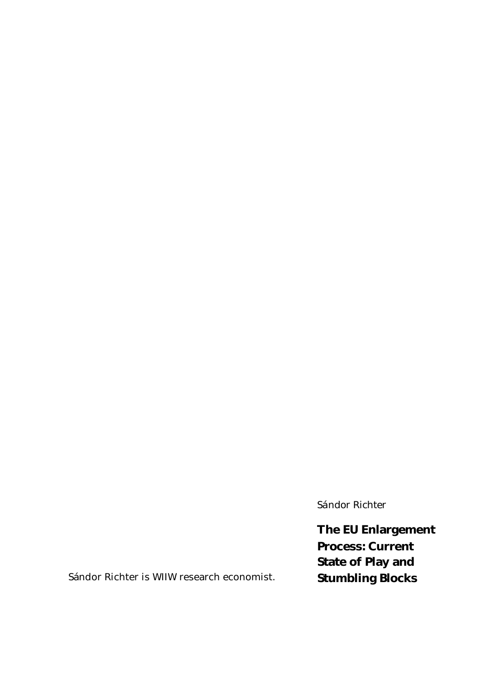*Sándor Richter*

**The EU Enlargement Process: Current State of Play and Stumbling Blocks**

Sándor Richter is WIIW research economist.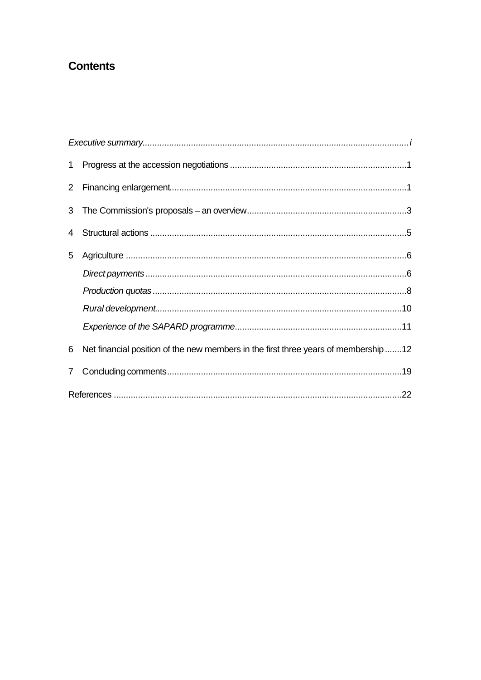# **Contents**

| 1              |                                                                                     |
|----------------|-------------------------------------------------------------------------------------|
|                |                                                                                     |
| 3 <sup>1</sup> |                                                                                     |
| 4              |                                                                                     |
| 5              |                                                                                     |
|                |                                                                                     |
|                |                                                                                     |
|                |                                                                                     |
|                |                                                                                     |
| 6              | Net financial position of the new members in the first three years of membership 12 |
| $\mathbf{7}$   |                                                                                     |
|                |                                                                                     |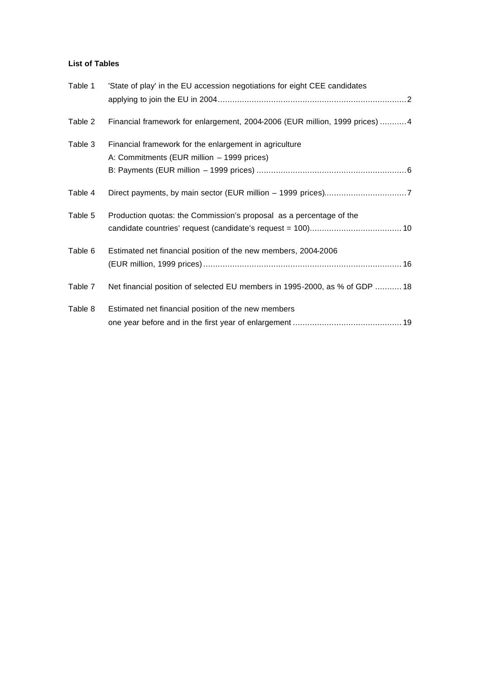### **List of Tables**

| Table 1 | 'State of play' in the EU accession negotiations for eight CEE candidates   |
|---------|-----------------------------------------------------------------------------|
|         |                                                                             |
| Table 2 | Financial framework for enlargement, 2004-2006 (EUR million, 1999 prices) 4 |
| Table 3 | Financial framework for the enlargement in agriculture                      |
|         | A: Commitments (EUR million - 1999 prices)                                  |
|         |                                                                             |
| Table 4 |                                                                             |
| Table 5 | Production quotas: the Commission's proposal as a percentage of the         |
|         |                                                                             |
| Table 6 | Estimated net financial position of the new members, 2004-2006              |
|         |                                                                             |
| Table 7 | Net financial position of selected EU members in 1995-2000, as % of GDP  18 |
| Table 8 | Estimated net financial position of the new members                         |
|         |                                                                             |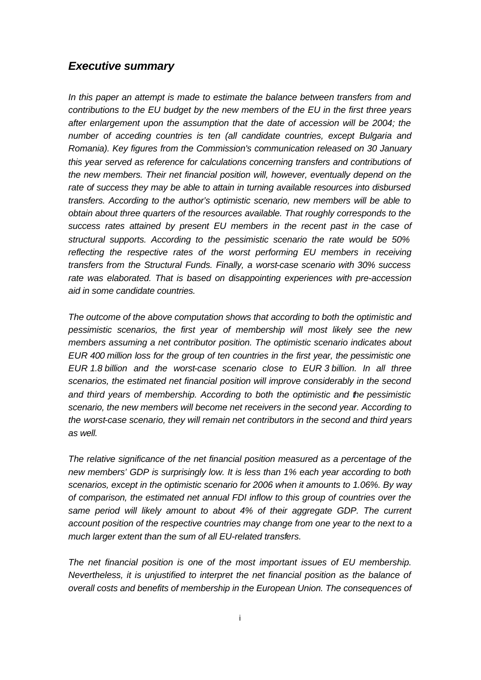### *Executive summary*

*In this paper an attempt is made to estimate the balance between transfers from and contributions to the EU budget by the new members of the EU in the first three years after enlargement upon the assumption that the date of accession will be 2004; the number of acceding countries is ten (all candidate countries, except Bulgaria and Romania). Key figures from the Commission's communication released on 30 January this year served as reference for calculations concerning transfers and contributions of the new members. Their net financial position will, however, eventually depend on the rate of success they may be able to attain in turning available resources into disbursed transfers. According to the author's optimistic scenario, new members will be able to obtain about three quarters of the resources available. That roughly corresponds to the success rates attained by present EU members in the recent past in the case of structural supports. According to the pessimistic scenario the rate would be 50% reflecting the respective rates of the worst performing EU members in receiving transfers from the Structural Funds. Finally, a worst-case scenario with 30% success rate was elaborated. That is based on disappointing experiences with pre-accession aid in some candidate countries.* 

*The outcome of the above computation shows that according to both the optimistic and pessimistic scenarios, the first year of membership will most likely see the new members assuming a net contributor position. The optimistic scenario indicates about EUR 400 million loss for the group of ten countries in the first year, the pessimistic one EUR 1.8 billion and the worst-case scenario close to EUR 3 billion. In all three scenarios, the estimated net financial position will improve considerably in the second and third years of membership. According to both the optimistic and the pessimistic scenario, the new members will become net receivers in the second year. According to the worst-case scenario, they will remain net contributors in the second and third years as well.*

*The relative significance of the net financial position measured as a percentage of the new members' GDP is surprisingly low. It is less than 1% each year according to both scenarios, except in the optimistic scenario for 2006 when it amounts to 1.06%. By way of comparison, the estimated net annual FDI inflow to this group of countries over the same period will likely amount to about 4% of their aggregate GDP. The current account position of the respective countries may change from one year to the next to a much larger extent than the sum of all EU-related transfers.* 

*The net financial position is one of the most important issues of EU membership. Nevertheless, it is unjustified to interpret the net financial position as the balance of overall costs and benefits of membership in the European Union. The consequences of*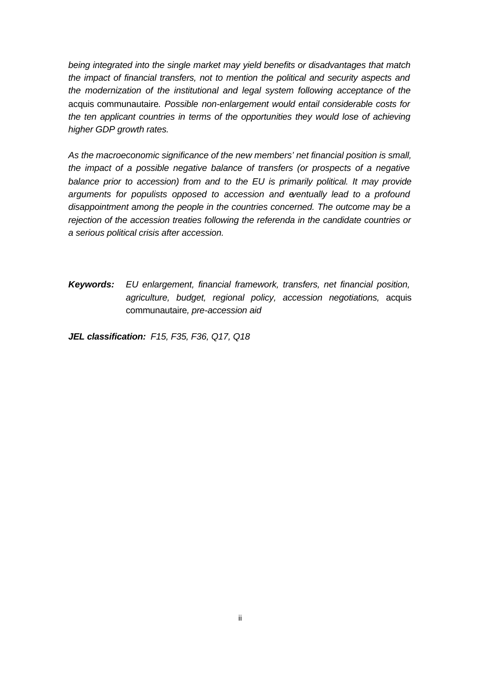*being integrated into the single market may yield benefits or disadvantages that match the impact of financial transfers, not to mention the political and security aspects and the modernization of the institutional and legal system following acceptance of the*  acquis communautaire*. Possible non-enlargement would entail considerable costs for the ten applicant countries in terms of the opportunities they would lose of achieving higher GDP growth rates.*

*As the macroeconomic significance of the new members' net financial position is small, the impact of a possible negative balance of transfers (or prospects of a negative balance prior to accession) from and to the EU is primarily political. It may provide arguments for populists opposed to accession and eventually lead to a profound disappointment among the people in the countries concerned. The outcome may be a rejection of the accession treaties following the referenda in the candidate countries or a serious political crisis after accession.* 

*Keywords: EU enlargement, financial framework, transfers, net financial position, agriculture, budget, regional policy, accession negotiations,* acquis communautaire*, pre-accession aid*

*JEL classification: F15, F35, F36, Q17, Q18*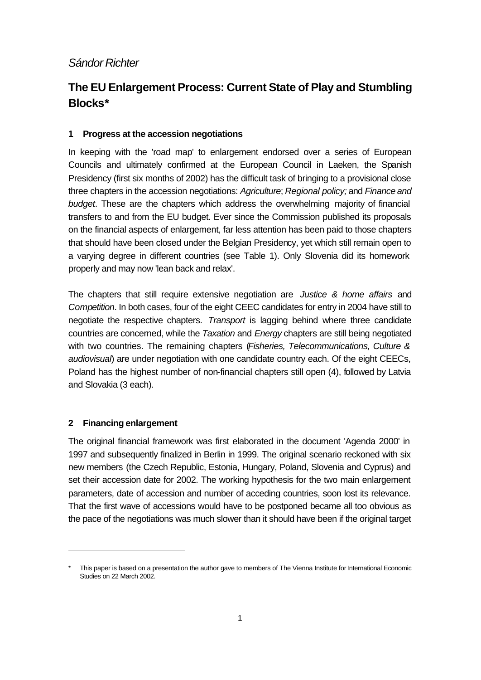## *Sándor Richter*

# **The EU Enlargement Process: Current State of Play and Stumbling Blocks\***

### **1 Progress at the accession negotiations**

In keeping with the 'road map' to enlargement endorsed over a series of European Councils and ultimately confirmed at the European Council in Laeken, the Spanish Presidency (first six months of 2002) has the difficult task of bringing to a provisional close three chapters in the accession negotiations: *Agriculture*; *Regional policy;* and *Finance and budget*. These are the chapters which address the overwhelming majority of financial transfers to and from the EU budget. Ever since the Commission published its proposals on the financial aspects of enlargement, far less attention has been paid to those chapters that should have been closed under the Belgian Presidency, yet which still remain open to a varying degree in different countries (see Table 1). Only Slovenia did its homework properly and may now 'lean back and relax'.

The chapters that still require extensive negotiation are *Justice & home affairs* and *Competition*. In both cases, four of the eight CEEC candidates for entry in 2004 have still to negotiate the respective chapters. *Transport* is lagging behind where three candidate countries are concerned, while the *Taxation* and *Energy* chapters are still being negotiated with two countries. The remaining chapters (*Fisheries, Telecommunications, Culture & audiovisual*) are under negotiation with one candidate country each. Of the eight CEECs, Poland has the highest number of non-financial chapters still open (4), followed by Latvia and Slovakia (3 each).

### **2 Financing enlargement**

l

The original financial framework was first elaborated in the document 'Agenda 2000' in 1997 and subsequently finalized in Berlin in 1999. The original scenario reckoned with six new members (the Czech Republic, Estonia, Hungary, Poland, Slovenia and Cyprus) and set their accession date for 2002. The working hypothesis for the two main enlargement parameters, date of accession and number of acceding countries, soon lost its relevance. That the first wave of accessions would have to be postponed became all too obvious as the pace of the negotiations was much slower than it should have been if the original target

This paper is based on a presentation the author gave to members of The Vienna Institute for International Economic Studies on 22 March 2002.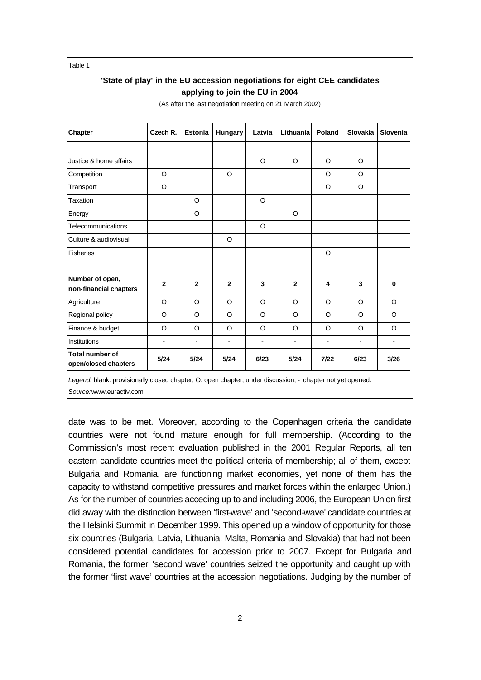Table 1

### **'State of play' in the EU accession negotiations for eight CEE candidates applying to join the EU in 2004**

| Chapter                                        | Czech R.                     | <b>Estonia</b>               | Hungary                  | Latvia                   | Lithuania                | Poland                   | <b>Slovakia</b>          | Slovenia |
|------------------------------------------------|------------------------------|------------------------------|--------------------------|--------------------------|--------------------------|--------------------------|--------------------------|----------|
|                                                |                              |                              |                          |                          |                          |                          |                          |          |
| Justice & home affairs                         |                              |                              |                          | $\circ$                  | O                        | $\Omega$                 | $\circ$                  |          |
| Competition                                    | O                            |                              | O                        |                          |                          | $\circ$                  | O                        |          |
| Transport                                      | $\circ$                      |                              |                          |                          |                          | $\Omega$                 | $\circ$                  |          |
| Taxation                                       |                              | O                            |                          | $\circ$                  |                          |                          |                          |          |
| Energy                                         |                              | O                            |                          |                          | O                        |                          |                          |          |
| Telecommunications                             |                              |                              |                          | O                        |                          |                          |                          |          |
| Culture & audiovisual                          |                              |                              | O                        |                          |                          |                          |                          |          |
| <b>Fisheries</b>                               |                              |                              |                          |                          |                          | $\Omega$                 |                          |          |
|                                                |                              |                              |                          |                          |                          |                          |                          |          |
| Number of open,<br>non-financial chapters      | $\mathbf{2}$                 | $\mathbf{2}$                 | $\overline{2}$           | 3                        | $\mathbf{2}$             | 4                        | 3                        | $\bf{0}$ |
| Agriculture                                    | O                            | $\circ$                      | $\Omega$                 | $\circ$                  | $\circ$                  | $\Omega$                 | $\circ$                  | $\circ$  |
| Regional policy                                | O                            | $\circ$                      | O                        | O                        | $\circ$                  | $\circ$                  | $\circ$                  | $\Omega$ |
| Finance & budget                               | O                            | O                            | O                        | O                        | O                        | $\circ$                  | O                        | O        |
| Institutions                                   | $\qquad \qquad \blacksquare$ | $\qquad \qquad \blacksquare$ | $\overline{\phantom{a}}$ | $\overline{\phantom{a}}$ | $\overline{\phantom{a}}$ | $\overline{\phantom{a}}$ | $\overline{\phantom{0}}$ | ۰        |
| <b>Total number of</b><br>open/closed chapters | 5/24                         | 5/24                         | 5/24                     | 6/23                     | 5/24                     | $7/22$                   | 6/23                     | 3/26     |

(As after the last negotiation meeting on 21 March 2002)

*Legend:* blank: provisionally closed chapter; O: open chapter, under discussion; - chapter not yet opened. *Source:*www.euractiv.com

date was to be met. Moreover, according to the Copenhagen criteria the candidate countries were not found mature enough for full membership. (According to the Commission's most recent evaluation published in the 2001 Regular Reports, all ten eastern candidate countries meet the political criteria of membership; all of them, except Bulgaria and Romania, are functioning market economies, yet none of them has the capacity to withstand competitive pressures and market forces within the enlarged Union.) As for the number of countries acceding up to and including 2006, the European Union first did away with the distinction between 'first-wave' and 'second-wave' candidate countries at the Helsinki Summit in December 1999. This opened up a window of opportunity for those six countries (Bulgaria, Latvia, Lithuania, Malta, Romania and Slovakia) that had not been considered potential candidates for accession prior to 2007. Except for Bulgaria and Romania, the former 'second wave' countries seized the opportunity and caught up with the former 'first wave' countries at the accession negotiations. Judging by the number of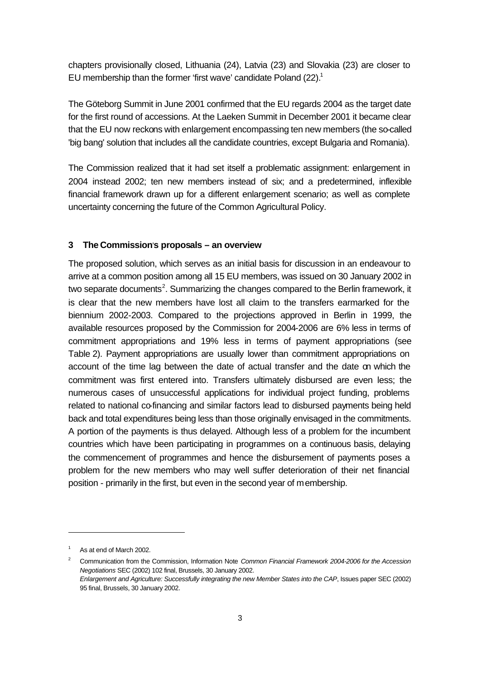chapters provisionally closed, Lithuania (24), Latvia (23) and Slovakia (23) are closer to EU membership than the former 'first wave' candidate Poland (22).<sup>1</sup>

The Göteborg Summit in June 2001 confirmed that the EU regards 2004 as the target date for the first round of accessions. At the Laeken Summit in December 2001 it became clear that the EU now reckons with enlargement encompassing ten new members (the so-called 'big bang' solution that includes all the candidate countries, except Bulgaria and Romania).

The Commission realized that it had set itself a problematic assignment: enlargement in 2004 instead 2002; ten new members instead of six; and a predetermined, inflexible financial framework drawn up for a different enlargement scenario; as well as complete uncertainty concerning the future of the Common Agricultural Policy.

### **3 The Commission**'**s proposals – an overview**

The proposed solution, which serves as an initial basis for discussion in an endeavour to arrive at a common position among all 15 EU members, was issued on 30 January 2002 in two separate documents<sup>2</sup>. Summarizing the changes compared to the Berlin framework, it is clear that the new members have lost all claim to the transfers earmarked for the biennium 2002-2003. Compared to the projections approved in Berlin in 1999, the available resources proposed by the Commission for 2004-2006 are 6% less in terms of commitment appropriations and 19% less in terms of payment appropriations (see Table 2). Payment appropriations are usually lower than commitment appropriations on account of the time lag between the date of actual transfer and the date on which the commitment was first entered into. Transfers ultimately disbursed are even less; the numerous cases of unsuccessful applications for individual project funding, problems related to national co-financing and similar factors lead to disbursed payments being held back and total expenditures being less than those originally envisaged in the commitments. A portion of the payments is thus delayed. Although less of a problem for the incumbent countries which have been participating in programmes on a continuous basis, delaying the commencement of programmes and hence the disbursement of payments poses a problem for the new members who may well suffer deterioration of their net financial position - primarily in the first, but even in the second year of membership.

As at end of March 2002.

<sup>2</sup> Communication from the Commission, Information Note *Common Financial Framework 2004-2006 for the Accession Negotiations* SEC (2002) 102 final, Brussels, 30 January 2002. *Enlargement and Agriculture: Successfully integrating the new Member States into the CAP*, Issues paper SEC (2002) 95 final, Brussels, 30 January 2002.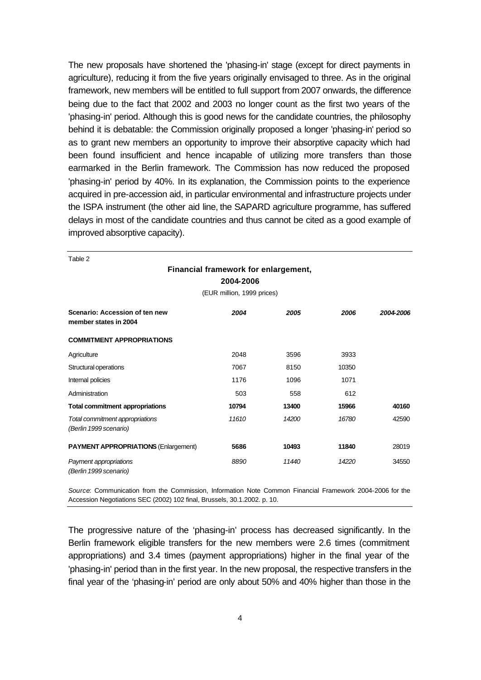The new proposals have shortened the 'phasing-in' stage (except for direct payments in agriculture), reducing it from the five years originally envisaged to three. As in the original framework, new members will be entitled to full support from 2007 onwards, the difference being due to the fact that 2002 and 2003 no longer count as the first two years of the 'phasing-in' period. Although this is good news for the candidate countries, the philosophy behind it is debatable: the Commission originally proposed a longer 'phasing-in' period so as to grant new members an opportunity to improve their absorptive capacity which had been found insufficient and hence incapable of utilizing more transfers than those earmarked in the Berlin framework. The Commission has now reduced the proposed 'phasing-in' period by 40%. In its explanation, the Commission points to the experience acquired in pre-accession aid, in particular environmental and infrastructure projects under the ISPA instrument (the other aid line, the SAPARD agriculture programme, has suffered delays in most of the candidate countries and thus cannot be cited as a good example of improved absorptive capacity).

| Table 2                                                   |                                                   |       |       |           |
|-----------------------------------------------------------|---------------------------------------------------|-------|-------|-----------|
|                                                           | Financial framework for enlargement,<br>2004-2006 |       |       |           |
|                                                           | (EUR million, 1999 prices)                        |       |       |           |
| Scenario: Accession of ten new<br>member states in 2004   | 2004                                              | 2005  | 2006  | 2004-2006 |
| <b>COMMITMENT APPROPRIATIONS</b>                          |                                                   |       |       |           |
| Agriculture                                               | 2048                                              | 3596  | 3933  |           |
| Structural operations                                     | 7067                                              | 8150  | 10350 |           |
| Internal policies                                         | 1176                                              | 1096  | 1071  |           |
| Administration                                            | 503                                               | 558   | 612   |           |
| <b>Total commitment appropriations</b>                    | 10794                                             | 13400 | 15966 | 40160     |
| Total commitment appropriations<br>(Berlin 1999 scenario) | 11610                                             | 14200 | 16780 | 42590     |
| <b>PAYMENT APPROPRIATIONS (Enlargement)</b>               | 5686                                              | 10493 | 11840 | 28019     |
| Payment appropriations<br>(Berlin 1999 scenario)          | 8890                                              | 11440 | 14220 | 34550     |

*Source*: Communication from the Commission, Information Note Common Financial Framework 2004-2006 for the Accession Negotiations SEC (2002) 102 final, Brussels, 30.1.2002. p. 10.

The progressive nature of the 'phasing-in' process has decreased significantly. In the Berlin framework eligible transfers for the new members were 2.6 times (commitment appropriations) and 3.4 times (payment appropriations) higher in the final year of the 'phasing-in' period than in the first year. In the new proposal, the respective transfers in the final year of the 'phasing-in' period are only about 50% and 40% higher than those in the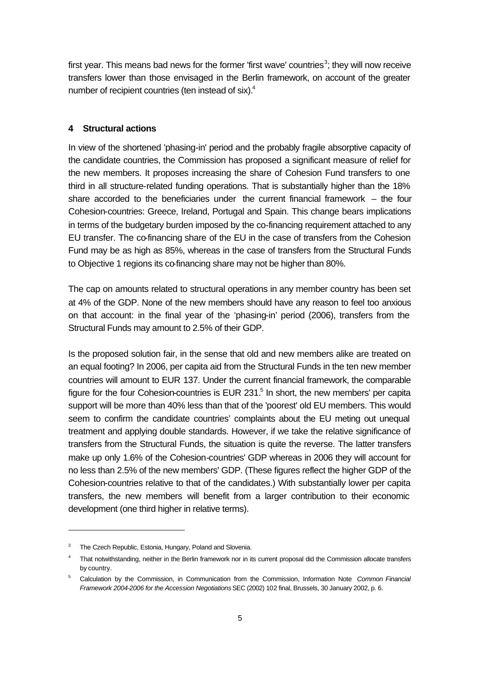first year. This means bad news for the former 'first wave' countries<sup>3</sup>; they will now receive transfers lower than those envisaged in the Berlin framework, on account of the greater number of recipient countries (ten instead of six).<sup>4</sup>

### **4 Structural actions**

In view of the shortened 'phasing-in' period and the probably fragile absorptive capacity of the candidate countries, the Commission has proposed a significant measure of relief for the new members. It proposes increasing the share of Cohesion Fund transfers to one third in all structure-related funding operations. That is substantially higher than the 18% share accorded to the beneficiaries under the current financial framework  $-$  the four Cohesion-countries: Greece, Ireland, Portugal and Spain. This change bears implications in terms of the budgetary burden imposed by the co-financing requirement attached to any EU transfer. The co-financing share of the EU in the case of transfers from the Cohesion Fund may be as high as 85%, whereas in the case of transfers from the Structural Funds to Objective 1 regions its co-financing share may not be higher than 80%.

The cap on amounts related to structural operations in any member country has been set at 4% of the GDP. None of the new members should have any reason to feel too anxious on that account: in the final year of the 'phasing-in' period (2006), transfers from the Structural Funds may amount to 2.5% of their GDP.

Is the proposed solution fair, in the sense that old and new members alike are treated on an equal footing? In 2006, per capita aid from the Structural Funds in the ten new member countries will amount to EUR 137. Under the current financial framework, the comparable figure for the four Cohesion-countries is EUR 231. $5$  In short, the new members' per capita support will be more than 40% less than that of the 'poorest' old EU members. This would seem to confirm the candidate countries' complaints about the EU meting out unequal treatment and applying double standards. However, if we take the relative significance of transfers from the Structural Funds, the situation is quite the reverse. The latter transfers make up only 1.6% of the Cohesion-countries' GDP whereas in 2006 they will account for no less than 2.5% of the new members' GDP. (These figures reflect the higher GDP of the Cohesion-countries relative to that of the candidates.) With substantially lower per capita transfers, the new members will benefit from a larger contribution to their economic development (one third higher in relative terms).

The Czech Republic, Estonia, Hungary, Poland and Slovenia.

<sup>4</sup> That notwithstanding, neither in the Berlin framework nor in its current proposal did the Commission allocate transfers by country.

<sup>5</sup> Calculation by the Commission, in Communication from the Commission, Information Note *Common Financial Framework 2004-2006 for the Accession Negotiations* SEC (2002) 102 final, Brussels, 30 January 2002, p. 6.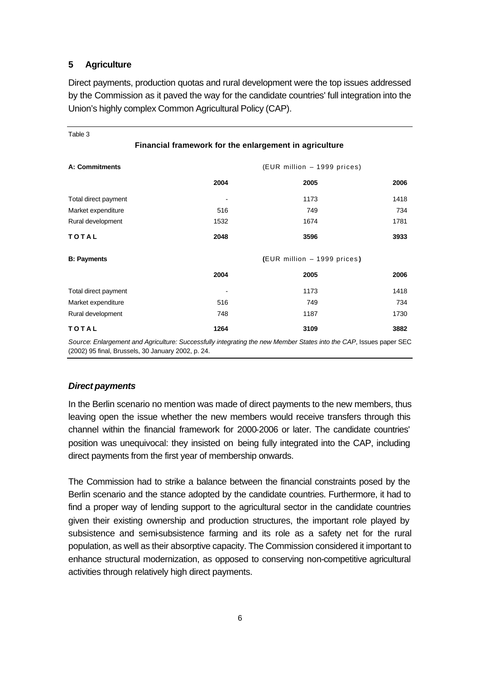### **5 Agriculture**

Direct payments, production quotas and rural development were the top issues addressed by the Commission as it paved the way for the candidate countries' full integration into the Union's highly complex Common Agricultural Policy (CAP).

| Table 3                                       |                                                        |                             |      |  |
|-----------------------------------------------|--------------------------------------------------------|-----------------------------|------|--|
|                                               | Financial framework for the enlargement in agriculture |                             |      |  |
| A: Commitments<br>(EUR million - 1999 prices) |                                                        |                             |      |  |
|                                               | 2004                                                   | 2005                        | 2006 |  |
| Total direct payment                          |                                                        | 1173                        | 1418 |  |
| Market expenditure                            | 516                                                    | 749                         | 734  |  |
| Rural development                             | 1532                                                   | 1674                        | 1781 |  |
| <b>TOTAL</b>                                  | 2048                                                   | 3596                        | 3933 |  |
| <b>B: Payments</b>                            |                                                        | (EUR million - 1999 prices) |      |  |
|                                               | 2004                                                   | 2005                        | 2006 |  |
| Total direct payment                          |                                                        | 1173                        | 1418 |  |
| Market expenditure                            | 516                                                    | 749                         | 734  |  |
| Rural development                             | 748                                                    | 1187                        | 1730 |  |
| <b>TOTAL</b>                                  | 1264                                                   | 3109                        | 3882 |  |

*Source*: *Enlargement and Agriculture: Successfully integrating the new Member States into the CAP*, Issues paper SEC (2002) 95 final, Brussels, 30 January 2002, p. 24.

### *Direct payments*

In the Berlin scenario no mention was made of direct payments to the new members, thus leaving open the issue whether the new members would receive transfers through this channel within the financial framework for 2000-2006 or later. The candidate countries' position was unequivocal: they insisted on being fully integrated into the CAP, including direct payments from the first year of membership onwards.

The Commission had to strike a balance between the financial constraints posed by the Berlin scenario and the stance adopted by the candidate countries. Furthermore, it had to find a proper way of lending support to the agricultural sector in the candidate countries given their existing ownership and production structures, the important role played by subsistence and semi-subsistence farming and its role as a safety net for the rural population, as well as their absorptive capacity. The Commission considered it important to enhance structural modernization, as opposed to conserving non-competitive agricultural activities through relatively high direct payments.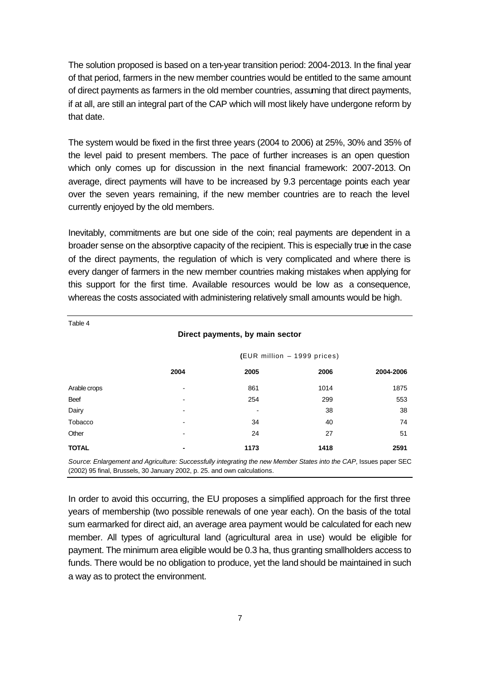The solution proposed is based on a ten-year transition period: 2004-2013. In the final year of that period, farmers in the new member countries would be entitled to the same amount of direct payments as farmers in the old member countries, assuming that direct payments, if at all, are still an integral part of the CAP which will most likely have undergone reform by that date.

The system would be fixed in the first three years (2004 to 2006) at 25%, 30% and 35% of the level paid to present members. The pace of further increases is an open question which only comes up for discussion in the next financial framework: 2007-2013. On average, direct payments will have to be increased by 9.3 percentage points each year over the seven years remaining, if the new member countries are to reach the level currently enjoyed by the old members.

Inevitably, commitments are but one side of the coin; real payments are dependent in a broader sense on the absorptive capacity of the recipient. This is especially true in the case of the direct payments, the regulation of which is very complicated and where there is every danger of farmers in the new member countries making mistakes when applying for this support for the first time. Available resources would be low as a consequence, whereas the costs associated with administering relatively small amounts would be high.

| Table 4      |                          |                                 |                             |           |
|--------------|--------------------------|---------------------------------|-----------------------------|-----------|
|              |                          | Direct payments, by main sector |                             |           |
|              |                          |                                 | (EUR million - 1999 prices) |           |
|              | 2004                     | 2005                            | 2006                        | 2004-2006 |
| Arable crops | $\overline{\phantom{a}}$ | 861                             | 1014                        | 1875      |
| Beef         | $\blacksquare$           | 254                             | 299                         | 553       |
| Dairy        |                          |                                 | 38                          | 38        |
| Tobacco      | $\overline{\phantom{a}}$ | 34                              | 40                          | 74        |
| Other        | $\blacksquare$           | 24                              | 27                          | 51        |
| <b>TOTAL</b> | ۰                        | 1173                            | 1418                        | 2591      |
|              |                          |                                 |                             |           |

*Source*: *Enlargement and Agriculture: Successfully integrating the new Member States into the CAP*, Issues paper SEC (2002) 95 final, Brussels, 30 January 2002, p. 25. and own calculations.

In order to avoid this occurring, the EU proposes a simplified approach for the first three years of membership (two possible renewals of one year each). On the basis of the total sum earmarked for direct aid, an average area payment would be calculated for each new member. All types of agricultural land (agricultural area in use) would be eligible for payment. The minimum area eligible would be 0.3 ha, thus granting smallholders access to funds. There would be no obligation to produce, yet the land should be maintained in such a way as to protect the environment.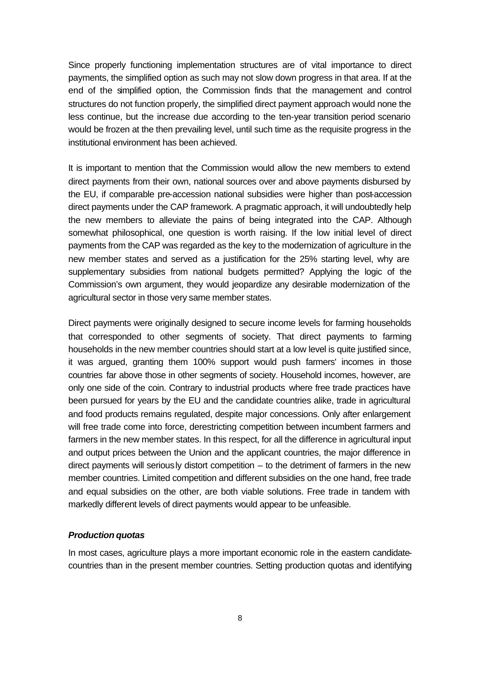Since properly functioning implementation structures are of vital importance to direct payments, the simplified option as such may not slow down progress in that area. If at the end of the simplified option, the Commission finds that the management and control structures do not function properly, the simplified direct payment approach would none the less continue, but the increase due according to the ten-year transition period scenario would be frozen at the then prevailing level, until such time as the requisite progress in the institutional environment has been achieved.

It is important to mention that the Commission would allow the new members to extend direct payments from their own, national sources over and above payments disbursed by the EU, if comparable pre-accession national subsidies were higher than post-accession direct payments under the CAP framework. A pragmatic approach, it will undoubtedly help the new members to alleviate the pains of being integrated into the CAP. Although somewhat philosophical, one question is worth raising. If the low initial level of direct payments from the CAP was regarded as the key to the modernization of agriculture in the new member states and served as a justification for the 25% starting level, why are supplementary subsidies from national budgets permitted? Applying the logic of the Commission's own argument, they would jeopardize any desirable modernization of the agricultural sector in those very same member states.

Direct payments were originally designed to secure income levels for farming households that corresponded to other segments of society. That direct payments to farming households in the new member countries should start at a low level is quite justified since, it was argued, granting them 100% support would push farmers' incomes in those countries far above those in other segments of society. Household incomes, however, are only one side of the coin. Contrary to industrial products where free trade practices have been pursued for years by the EU and the candidate countries alike, trade in agricultural and food products remains regulated, despite major concessions. Only after enlargement will free trade come into force, derestricting competition between incumbent farmers and farmers in the new member states. In this respect, for all the difference in agricultural input and output prices between the Union and the applicant countries, the major difference in direct payments will seriously distort competition – to the detriment of farmers in the new member countries. Limited competition and different subsidies on the one hand, free trade and equal subsidies on the other, are both viable solutions. Free trade in tandem with markedly different levels of direct payments would appear to be unfeasible.

### *Production quotas*

In most cases, agriculture plays a more important economic role in the eastern candidatecountries than in the present member countries. Setting production quotas and identifying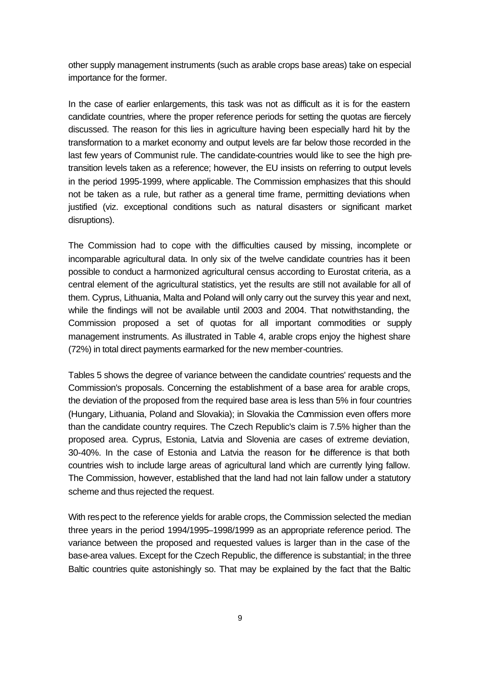other supply management instruments (such as arable crops base areas) take on especial importance for the former.

In the case of earlier enlargements, this task was not as difficult as it is for the eastern candidate countries, where the proper reference periods for setting the quotas are fiercely discussed. The reason for this lies in agriculture having been especially hard hit by the transformation to a market economy and output levels are far below those recorded in the last few years of Communist rule. The candidate-countries would like to see the high pretransition levels taken as a reference; however, the EU insists on referring to output levels in the period 1995-1999, where applicable. The Commission emphasizes that this should not be taken as a rule, but rather as a general time frame, permitting deviations when justified (viz. exceptional conditions such as natural disasters or significant market disruptions).

The Commission had to cope with the difficulties caused by missing, incomplete or incomparable agricultural data. In only six of the twelve candidate countries has it been possible to conduct a harmonized agricultural census according to Eurostat criteria, as a central element of the agricultural statistics, yet the results are still not available for all of them. Cyprus, Lithuania, Malta and Poland will only carry out the survey this year and next, while the findings will not be available until 2003 and 2004. That notwithstanding, the Commission proposed a set of quotas for all important commodities or supply management instruments. As illustrated in Table 4, arable crops enjoy the highest share (72%) in total direct payments earmarked for the new member-countries.

Tables 5 shows the degree of variance between the candidate countries' requests and the Commission's proposals. Concerning the establishment of a base area for arable crops, the deviation of the proposed from the required base area is less than 5% in four countries (Hungary, Lithuania, Poland and Slovakia); in Slovakia the Commission even offers more than the candidate country requires. The Czech Republic's claim is 7.5% higher than the proposed area. Cyprus, Estonia, Latvia and Slovenia are cases of extreme deviation, 30-40%. In the case of Estonia and Latvia the reason for the difference is that both countries wish to include large areas of agricultural land which are currently lying fallow. The Commission, however, established that the land had not lain fallow under a statutory scheme and thus rejected the request.

With respect to the reference yields for arable crops, the Commission selected the median three years in the period 1994/1995–1998/1999 as an appropriate reference period. The variance between the proposed and requested values is larger than in the case of the base-area values. Except for the Czech Republic, the difference is substantial; in the three Baltic countries quite astonishingly so. That may be explained by the fact that the Baltic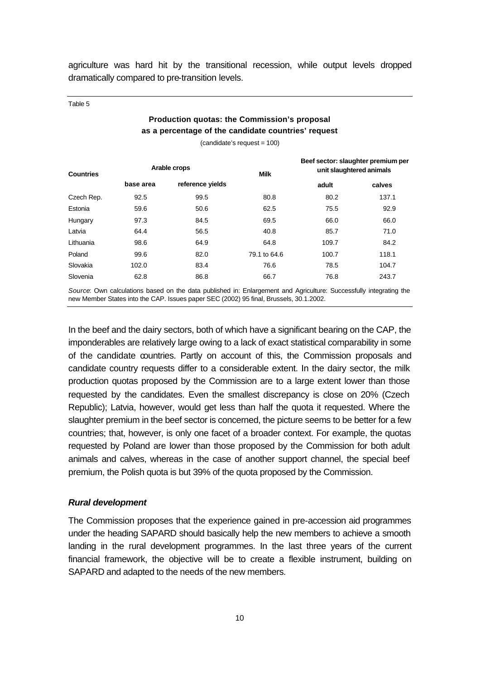agriculture was hard hit by the transitional recession, while output levels dropped dramatically compared to pre-transition levels.

Table 5

## **Production quotas: the Commission's proposal as a percentage of the candidate countries' request**

(candidate's request = 100)

| <b>Countries</b> | Arable crops |                  | <b>Milk</b>  | Beef sector: slaughter premium per<br>unit slaughtered animals |        |
|------------------|--------------|------------------|--------------|----------------------------------------------------------------|--------|
|                  | base area    | reference yields |              | adult                                                          | calves |
| Czech Rep.       | 92.5         | 99.5             | 80.8         | 80.2                                                           | 137.1  |
| Estonia          | 59.6         | 50.6             | 62.5         | 75.5                                                           | 92.9   |
| Hungary          | 97.3         | 84.5             | 69.5         | 66.0                                                           | 66.0   |
| Latvia           | 64.4         | 56.5             | 40.8         | 85.7                                                           | 71.0   |
| Lithuania        | 98.6         | 64.9             | 64.8         | 109.7                                                          | 84.2   |
| Poland           | 99.6         | 82.0             | 79.1 to 64.6 | 100.7                                                          | 118.1  |
| Slovakia         | 102.0        | 83.4             | 76.6         | 78.5                                                           | 104.7  |
| Slovenia         | 62.8         | 86.8             | 66.7         | 76.8                                                           | 243.7  |

*Source*: Own calculations based on the data published in: Enlargement and Agriculture: Successfully integrating the new Member States into the CAP. Issues paper SEC (2002) 95 final, Brussels, 30.1.2002.

In the beef and the dairy sectors, both of which have a significant bearing on the CAP, the imponderables are relatively large owing to a lack of exact statistical comparability in some of the candidate countries. Partly on account of this, the Commission proposals and candidate country requests differ to a considerable extent. In the dairy sector, the milk production quotas proposed by the Commission are to a large extent lower than those requested by the candidates. Even the smallest discrepancy is close on 20% (Czech Republic); Latvia, however, would get less than half the quota it requested. Where the slaughter premium in the beef sector is concerned, the picture seems to be better for a few countries; that, however, is only one facet of a broader context. For example, the quotas requested by Poland are lower than those proposed by the Commission for both adult animals and calves, whereas in the case of another support channel, the special beef premium, the Polish quota is but 39% of the quota proposed by the Commission.

### *Rural development*

The Commission proposes that the experience gained in pre-accession aid programmes under the heading SAPARD should basically help the new members to achieve a smooth landing in the rural development programmes. In the last three years of the current financial framework, the objective will be to create a flexible instrument, building on SAPARD and adapted to the needs of the new members.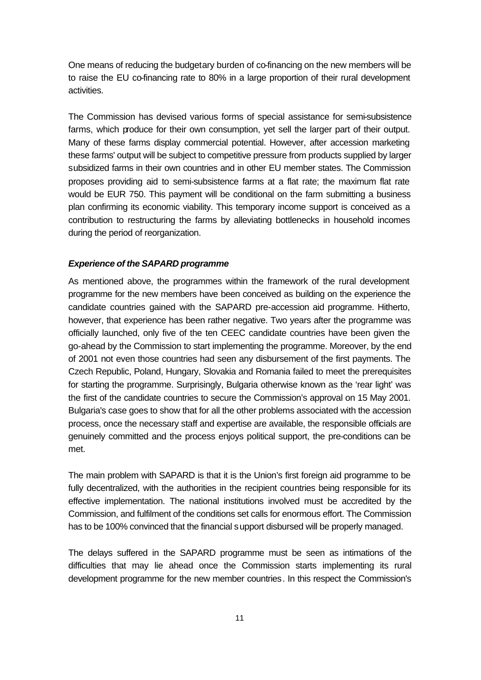One means of reducing the budgetary burden of co-financing on the new members will be to raise the EU co-financing rate to 80% in a large proportion of their rural development activities.

The Commission has devised various forms of special assistance for semi-subsistence farms, which produce for their own consumption, yet sell the larger part of their output. Many of these farms display commercial potential. However, after accession marketing these farms' output will be subject to competitive pressure from products supplied by larger subsidized farms in their own countries and in other EU member states. The Commission proposes providing aid to semi-subsistence farms at a flat rate; the maximum flat rate would be EUR 750. This payment will be conditional on the farm submitting a business plan confirming its economic viability. This temporary income support is conceived as a contribution to restructuring the farms by alleviating bottlenecks in household incomes during the period of reorganization.

### *Experience of the SAPARD programme*

As mentioned above, the programmes within the framework of the rural development programme for the new members have been conceived as building on the experience the candidate countries gained with the SAPARD pre-accession aid programme. Hitherto, however, that experience has been rather negative. Two years after the programme was officially launched, only five of the ten CEEC candidate countries have been given the go-ahead by the Commission to start implementing the programme. Moreover, by the end of 2001 not even those countries had seen any disbursement of the first payments. The Czech Republic, Poland, Hungary, Slovakia and Romania failed to meet the prerequisites for starting the programme. Surprisingly, Bulgaria otherwise known as the 'rear light' was the first of the candidate countries to secure the Commission's approval on 15 May 2001. Bulgaria's case goes to show that for all the other problems associated with the accession process, once the necessary staff and expertise are available, the responsible officials are genuinely committed and the process enjoys political support, the pre-conditions can be met.

The main problem with SAPARD is that it is the Union's first foreign aid programme to be fully decentralized, with the authorities in the recipient countries being responsible for its effective implementation. The national institutions involved must be accredited by the Commission, and fulfilment of the conditions set calls for enormous effort. The Commission has to be 100% convinced that the financial support disbursed will be properly managed.

The delays suffered in the SAPARD programme must be seen as intimations of the difficulties that may lie ahead once the Commission starts implementing its rural development programme for the new member countries. In this respect the Commission's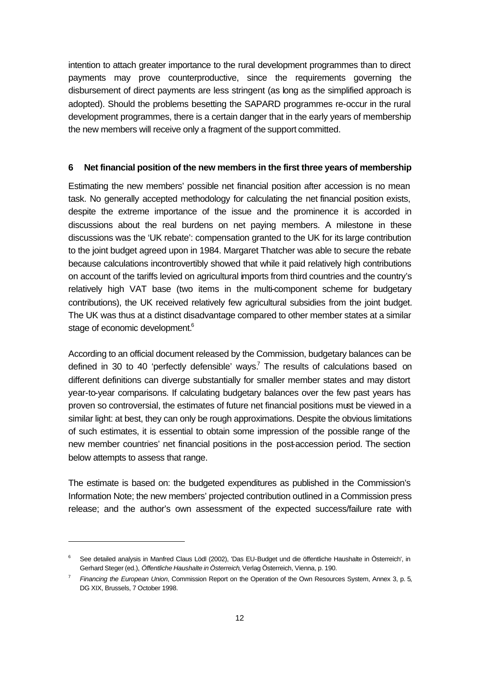intention to attach greater importance to the rural development programmes than to direct payments may prove counterproductive, since the requirements governing the disbursement of direct payments are less stringent (as long as the simplified approach is adopted). Should the problems besetting the SAPARD programmes re-occur in the rural development programmes, there is a certain danger that in the early years of membership the new members will receive only a fragment of the support committed.

### **6 Net financial position of the new members in the first three years of membership**

Estimating the new members' possible net financial position after accession is no mean task. No generally accepted methodology for calculating the net financial position exists, despite the extreme importance of the issue and the prominence it is accorded in discussions about the real burdens on net paying members. A milestone in these discussions was the 'UK rebate': compensation granted to the UK for its large contribution to the joint budget agreed upon in 1984. Margaret Thatcher was able to secure the rebate because calculations incontrovertibly showed that while it paid relatively high contributions on account of the tariffs levied on agricultural imports from third countries and the country's relatively high VAT base (two items in the multi-component scheme for budgetary contributions), the UK received relatively few agricultural subsidies from the joint budget. The UK was thus at a distinct disadvantage compared to other member states at a similar stage of economic development.<sup>6</sup>

According to an official document released by the Commission, budgetary balances can be defined in 30 to 40 'perfectly defensible' ways.<sup>7</sup> The results of calculations based on different definitions can diverge substantially for smaller member states and may distort year-to-year comparisons. If calculating budgetary balances over the few past years has proven so controversial, the estimates of future net financial positions must be viewed in a similar light: at best, they can only be rough approximations. Despite the obvious limitations of such estimates, it is essential to obtain some impression of the possible range of the new member countries' net financial positions in the post-accession period. The section below attempts to assess that range.

The estimate is based on: the budgeted expenditures as published in the Commission's Information Note; the new members' projected contribution outlined in a Commission press release; and the author's own assessment of the expected success/failure rate with

<sup>6</sup> See detailed analysis in Manfred Claus Lödl (2002), 'Das EU-Budget und die öffentliche Haushalte in Österreich', in Gerhard Steger (ed.), *Öffentliche Haushalte in Österreich*, Verlag Österreich, Vienna, p. 190.

<sup>7</sup> *Financing the European Union*, Commission Report on the Operation of the Own Resources System, Annex 3, p. 5, DG XIX, Brussels, 7 October 1998.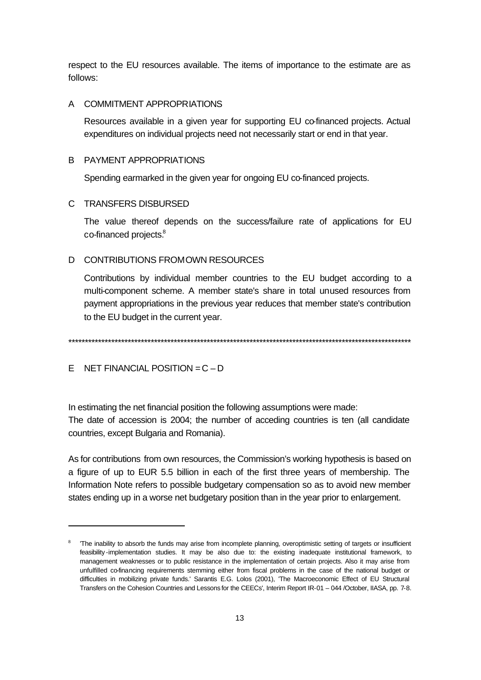respect to the EU resources available. The items of importance to the estimate are as follows:

### A COMMITMENT APPROPRIATIONS

Resources available in a given year for supporting EU co-financed projects. Actual expenditures on individual projects need not necessarily start or end in that year.

### B PAYMENT APPROPRIATIONS

Spending earmarked in the given year for ongoing EU co-financed projects.

### C TRANSFERS DISBURSED

The value thereof depends on the success/failure rate of applications for EU co-financed projects.<sup>8</sup>

### D CONTRIBUTIONS FROM OWN RESOURCES

Contributions by individual member countries to the EU budget according to a multi-component scheme. A member state's share in total unused resources from payment appropriations in the previous year reduces that member state's contribution to the EU budget in the current year.

\*\*\*\*\*\*\*\*\*\*\*\*\*\*\*\*\*\*\*\*\*\*\*\*\*\*\*\*\*\*\*\*\*\*\*\*\*\*\*\*\*\*\*\*\*\*\*\*\*\*\*\*\*\*\*\*\*\*\*\*\*\*\*\*\*\*\*\*\*\*\*\*\*\*\*\*\*\*\*\*\*\*\*\*\*\*\*\*\*\*\*\*\*\*\*\*\*\*\*\*\*\*\*\*

### E NET FINANCIAL POSITION =  $C - D$

l

In estimating the net financial position the following assumptions were made: The date of accession is 2004; the number of acceding countries is ten (all candidate countries, except Bulgaria and Romania).

As for contributions from own resources, the Commission's working hypothesis is based on a figure of up to EUR 5.5 billion in each of the first three years of membership. The Information Note refers to possible budgetary compensation so as to avoid new member states ending up in a worse net budgetary position than in the year prior to enlargement.

<sup>8</sup> 'The inability to absorb the funds may arise from incomplete planning, overoptimistic setting of targets or insufficient feasibility -implementation studies. It may be also due to: the existing inadequate institutional framework, to management weaknesses or to public resistance in the implementation of certain projects. Also it may arise from unfulfilled co-financing requirements stemming either from fiscal problems in the case of the national budget or difficulties in mobilizing private funds.' Sarantis E.G. Lolos (2001), 'The Macroeconomic Effect of EU Structural Transfers on the Cohesion Countries and Lessons for the CEECs', Interim Report IR-01 – 044 /October, IIASA, pp. 7-8.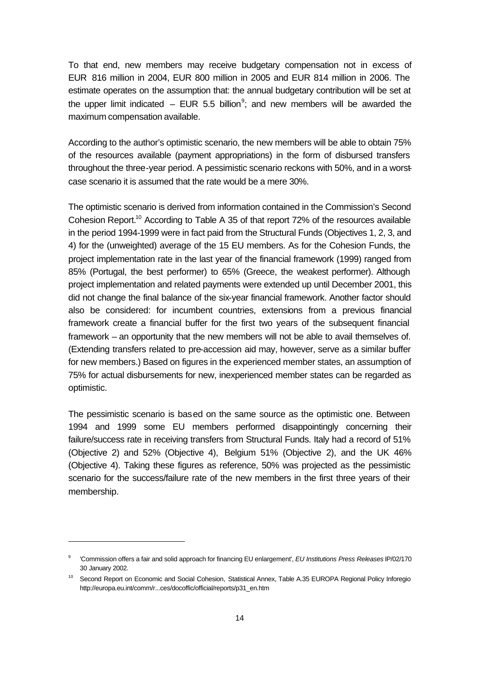To that end, new members may receive budgetary compensation not in excess of EUR 816 million in 2004, EUR 800 million in 2005 and EUR 814 million in 2006. The estimate operates on the assumption that: the annual budgetary contribution will be set at the upper limit indicated  $-$  EUR 5.5 billion<sup>9</sup>; and new members will be awarded the maximum compensation available.

According to the author's optimistic scenario, the new members will be able to obtain 75% of the resources available (payment appropriations) in the form of disbursed transfers throughout the three-year period. A pessimistic scenario reckons with 50%, and in a worstcase scenario it is assumed that the rate would be a mere 30%.

The optimistic scenario is derived from information contained in the Commission's Second Cohesion Report.<sup>10</sup> According to Table A 35 of that report 72% of the resources available in the period 1994-1999 were in fact paid from the Structural Funds (Objectives 1, 2, 3, and 4) for the (unweighted) average of the 15 EU members. As for the Cohesion Funds, the project implementation rate in the last year of the financial framework (1999) ranged from 85% (Portugal, the best performer) to 65% (Greece, the weakest performer). Although project implementation and related payments were extended up until December 2001, this did not change the final balance of the six-year financial framework. Another factor should also be considered: for incumbent countries, extensions from a previous financial framework create a financial buffer for the first two years of the subsequent financial framework – an opportunity that the new members will not be able to avail themselves of. (Extending transfers related to pre-accession aid may, however, serve as a similar buffer for new members.) Based on figures in the experienced member states, an assumption of 75% for actual disbursements for new, inexperienced member states can be regarded as optimistic.

The pessimistic scenario is based on the same source as the optimistic one. Between 1994 and 1999 some EU members performed disappointingly concerning their failure/success rate in receiving transfers from Structural Funds. Italy had a record of 51% (Objective 2) and 52% (Objective 4), Belgium 51% (Objective 2), and the UK 46% (Objective 4). Taking these figures as reference, 50% was projected as the pessimistic scenario for the success/failure rate of the new members in the first three years of their membership.

<sup>9</sup> 'Commission offers a fair and solid approach for financing EU enlargement', *EU Institutions Press Releases* IP/02/170 30 January 2002.

<sup>&</sup>lt;sup>10</sup> Second Report on Economic and Social Cohesion, Statistical Annex, Table A.35 EUROPA Regional Policy Inforegio http://europa.eu.int/comm/r...ces/docoffic/official/reports/p31\_en.htm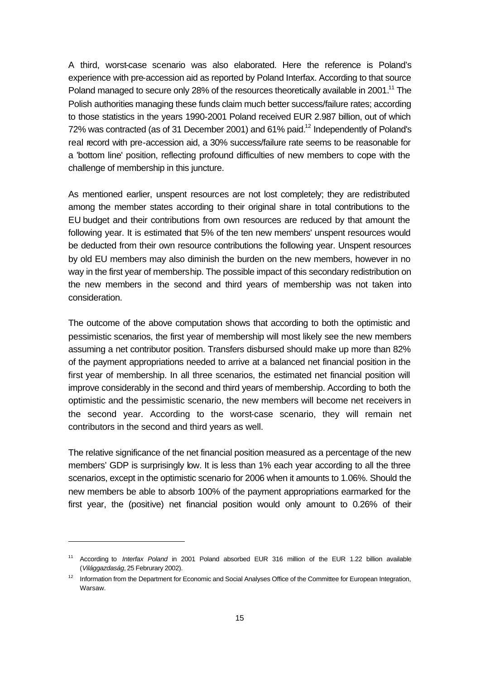A third, worst-case scenario was also elaborated. Here the reference is Poland's experience with pre-accession aid as reported by Poland Interfax. According to that source Poland managed to secure only 28% of the resources theoretically available in 2001.<sup>11</sup> The Polish authorities managing these funds claim much better success/failure rates; according to those statistics in the years 1990-2001 Poland received EUR 2.987 billion, out of which 72% was contracted (as of 31 December 2001) and 61% paid.<sup>12</sup> Independently of Poland's real record with pre-accession aid, a 30% success/failure rate seems to be reasonable for a 'bottom line' position, reflecting profound difficulties of new members to cope with the challenge of membership in this juncture.

As mentioned earlier, unspent resources are not lost completely; they are redistributed among the member states according to their original share in total contributions to the EU budget and their contributions from own resources are reduced by that amount the following year. It is estimated that 5% of the ten new members' unspent resources would be deducted from their own resource contributions the following year. Unspent resources by old EU members may also diminish the burden on the new members, however in no way in the first year of membership. The possible impact of this secondary redistribution on the new members in the second and third years of membership was not taken into consideration.

The outcome of the above computation shows that according to both the optimistic and pessimistic scenarios, the first year of membership will most likely see the new members assuming a net contributor position. Transfers disbursed should make up more than 82% of the payment appropriations needed to arrive at a balanced net financial position in the first year of membership. In all three scenarios, the estimated net financial position will improve considerably in the second and third years of membership. According to both the optimistic and the pessimistic scenario, the new members will become net receivers in the second year. According to the worst-case scenario, they will remain net contributors in the second and third years as well.

The relative significance of the net financial position measured as a percentage of the new members' GDP is surprisingly low. It is less than 1% each year according to all the three scenarios, except in the optimistic scenario for 2006 when it amounts to 1.06%. Should the new members be able to absorb 100% of the payment appropriations earmarked for the first year, the (positive) net financial position would only amount to 0.26% of their

<sup>11</sup> According to *Interfax Poland* in 2001 Poland absorbed EUR 316 million of the EUR 1.22 billion available (*Világgazdaság*, 25 Februrary 2002).

<sup>&</sup>lt;sup>12</sup> Information from the Department for Economic and Social Analyses Office of the Committee for European Integration, Warsaw.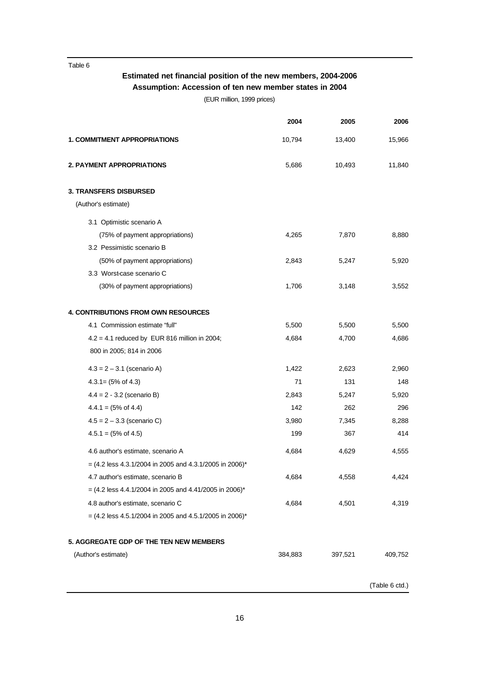Table 6

## **Estimated net financial position of the new members, 2004-2006 Assumption: Accession of ten new member states in 2004**

(EUR million, 1999 prices)

|                                                           | 2004    | 2005    | 2006    |
|-----------------------------------------------------------|---------|---------|---------|
| <b>1. COMMITMENT APPROPRIATIONS</b>                       | 10,794  | 13,400  | 15,966  |
| <b>2. PAYMENT APPROPRIATIONS</b>                          | 5,686   | 10,493  | 11,840  |
| <b>3. TRANSFERS DISBURSED</b>                             |         |         |         |
| (Author's estimate)                                       |         |         |         |
| 3.1 Optimistic scenario A                                 |         |         |         |
| (75% of payment appropriations)                           | 4,265   | 7,870   | 8,880   |
| 3.2 Pessimistic scenario B                                |         |         |         |
| (50% of payment appropriations)                           | 2,843   | 5,247   | 5,920   |
| 3.3 Worst-case scenario C                                 |         |         |         |
| (30% of payment appropriations)                           | 1,706   | 3,148   | 3,552   |
| <b>4. CONTRIBUTIONS FROM OWN RESOURCES</b>                |         |         |         |
| 4.1 Commission estimate "full"                            | 5,500   | 5,500   | 5,500   |
| $4.2 = 4.1$ reduced by EUR 816 million in 2004;           | 4,684   | 4,700   | 4,686   |
| 800 in 2005; 814 in 2006                                  |         |         |         |
| $4.3 = 2 - 3.1$ (scenario A)                              | 1,422   | 2,623   | 2,960   |
| $4.3.1 = (5\% \text{ of } 4.3)$                           | 71      | 131     | 148     |
| $4.4 = 2 - 3.2$ (scenario B)                              | 2,843   | 5,247   | 5,920   |
| $4.4.1 = (5\% \text{ of } 4.4)$                           | 142     | 262     | 296     |
| $4.5 = 2 - 3.3$ (scenario C)                              | 3,980   | 7,345   | 8,288   |
| $4.5.1 = (5\% \text{ of } 4.5)$                           | 199     | 367     | 414     |
| 4.6 author's estimate, scenario A                         | 4,684   | 4,629   | 4,555   |
| $=$ (4.2 less 4.3.1/2004 in 2005 and 4.3.1/2005 in 2006)* |         |         |         |
| 4.7 author's estimate, scenario B                         | 4,684   | 4,558   | 4,424   |
| $=$ (4.2 less 4.4.1/2004 in 2005 and 4.41/2005 in 2006)*  |         |         |         |
| 4.8 author's estimate, scenario C                         | 4,684   | 4,501   | 4,319   |
| $=$ (4.2 less 4.5.1/2004 in 2005 and 4.5.1/2005 in 2006)* |         |         |         |
| 5. AGGREGATE GDP OF THE TEN NEW MEMBERS                   |         |         |         |
| (Author's estimate)                                       | 384,883 | 397,521 | 409,752 |
|                                                           |         |         |         |

(Table 6 ctd.)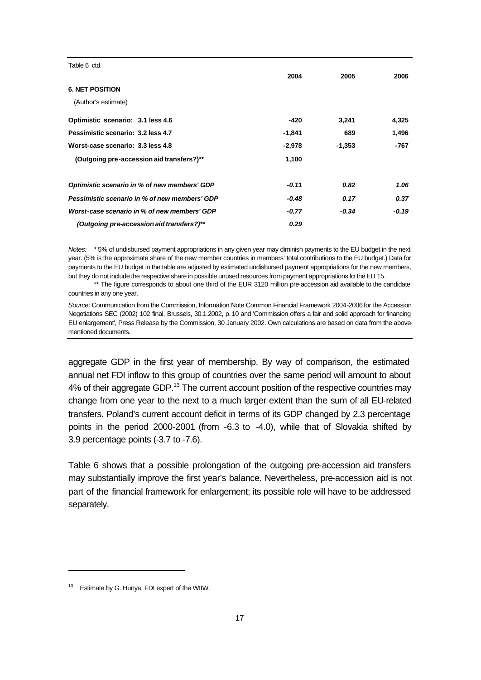| Table 6 ctd.                                  |          |          |       |
|-----------------------------------------------|----------|----------|-------|
|                                               | 2004     | 2005     | 2006  |
| <b>6. NET POSITION</b>                        |          |          |       |
| (Author's estimate)                           |          |          |       |
| Optimistic scenario: 3.1 less 4.6             | -420     | 3,241    | 4,325 |
| Pessimistic scenario: 3.2 less 4.7            | $-1,841$ | 689      | 1,496 |
| Worst-case scenario: 3.3 less 4.8             | $-2,978$ | $-1,353$ | -767  |
| (Outgoing pre-accession aid transfers?)**     | 1,100    |          |       |
| Optimistic scenario in % of new members' GDP  | $-0.11$  | 0.82     | 1.06  |
| Pessimistic scenario in % of new members' GDP | $-0.48$  | 0.17     | 0.37  |
| Worst-case scenario in % of new members' GDP  | $-0.77$  | $-0.34$  | -0.19 |
| (Outgoing pre-accession aid transfers?)**     | 0.29     |          |       |

*Notes: \** 5% of undisbursed payment appropriations in any given year may diminish payments to the EU budget in the next year. (5% is the approximate share of the new member countries in members' total contributions to the EU budget.) Data for payments to the EU budget in the table are adjusted by estimated undisbursed payment appropriations for the new members, but they do not include the respective share in possible unused resources from payment appropriations for the EU 15.

\*\* The figure corresponds to about one third of the EUR 3120 million pre-accession aid available to the candidate countries in any one year.

*Source*: Communication from the Commission, Information Note Common Financial Framework 2004-2006 for the Accession Negotiations SEC (2002) 102 final, Brussels, 30.1.2002, p. 10 and 'Commission offers a fair and solid approach for financing EU enlargement', Press Release by the Commission, 30 January 2002. Own calculations are based on data from the abovementioned documents.

aggregate GDP in the first year of membership. By way of comparison, the estimated annual net FDI inflow to this group of countries over the same period will amount to about 4% of their aggregate GDP.<sup>13</sup> The current account position of the respective countries may change from one year to the next to a much larger extent than the sum of all EU-related transfers. Poland's current account deficit in terms of its GDP changed by 2.3 percentage points in the period 2000-2001 (from -6.3 to -4.0), while that of Slovakia shifted by 3.9 percentage points (-3.7 to -7.6).

Table 6 shows that a possible prolongation of the outgoing pre-accession aid transfers may substantially improve the first year's balance. Nevertheless, pre-accession aid is not part of the financial framework for enlargement; its possible role will have to be addressed separately.

<sup>&</sup>lt;sup>13</sup> Estimate by G. Hunya, FDI expert of the WIIW.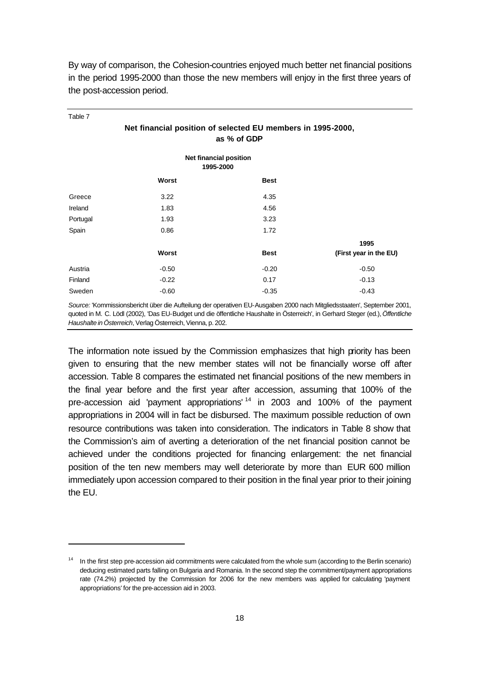| Table 7  |                                                                                                                    |                                            |                        |
|----------|--------------------------------------------------------------------------------------------------------------------|--------------------------------------------|------------------------|
|          | Net financial position of selected EU members in 1995-2000,                                                        | as % of GDP                                |                        |
|          |                                                                                                                    | <b>Net financial position</b><br>1995-2000 |                        |
|          | Worst                                                                                                              | <b>Best</b>                                |                        |
| Greece   | 3.22                                                                                                               | 4.35                                       |                        |
| Ireland  | 1.83                                                                                                               | 4.56                                       |                        |
| Portugal | 1.93                                                                                                               | 3.23                                       |                        |
| Spain    | 0.86                                                                                                               | 1.72                                       |                        |
|          |                                                                                                                    |                                            | 1995                   |
|          | Worst                                                                                                              | <b>Best</b>                                | (First year in the EU) |
| Austria  | $-0.50$                                                                                                            | $-0.20$                                    | $-0.50$                |
| Finland  | $-0.22$                                                                                                            | 0.17                                       | $-0.13$                |
| Sweden   | $-0.60$                                                                                                            | $-0.35$                                    | $-0.43$                |
|          | Course, Kannaisaiseksuiskt ühen die Aufteilung der sperature EU Ausgeben 2000 noch Mitalis destasten LOsptamben 20 |                                            |                        |

By way of comparison, the Cohesion-countries enjoyed much better net financial positions in the period 1995-2000 than those the new members will enjoy in the first three years of the post-accession period.

*Source:* 'Kommissionsbericht über die Aufteilung der operativen EU-Ausgaben 2000 nach Mitgliedsstaaten', September 2001, quoted in M. C. Lödl (2002), 'Das EU-Budget und die öffentliche Haushalte in Österreich', in Gerhard Steger (ed.), *Öffentliche Haushalte in Österreich*, Verlag Österreich, Vienna, p. 202.

The information note issued by the Commission emphasizes that high priority has been given to ensuring that the new member states will not be financially worse off after accession. Table 8 compares the estimated net financial positions of the new members in the final year before and the first year after accession, assuming that 100% of the pre-accession aid 'payment appropriations' <sup>14</sup> in 2003 and 100% of the payment appropriations in 2004 will in fact be disbursed. The maximum possible reduction of own resource contributions was taken into consideration. The indicators in Table 8 show that the Commission's aim of averting a deterioration of the net financial position cannot be achieved under the conditions projected for financing enlargement: the net financial position of the ten new members may well deteriorate by more than EUR 600 million immediately upon accession compared to their position in the final year prior to their joining the EU.

<sup>&</sup>lt;sup>14</sup> In the first step pre-accession aid commitments were calculated from the whole sum (according to the Berlin scenario) deducing estimated parts falling on Bulgaria and Romania. In the second step the commitment/payment appropriations rate (74.2%) projected by the Commission for 2006 for the new members was applied for calculating 'payment appropriations' for the pre-accession aid in 2003.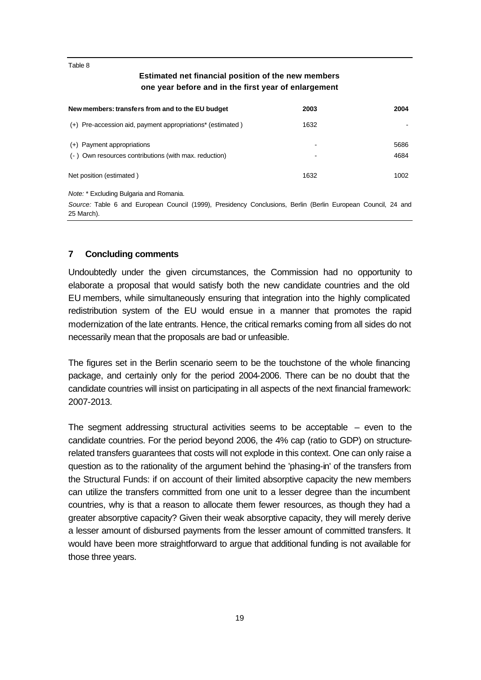Table 8

### **Estimated net financial position of the new members one year before and in the first year of enlargement**

| New members: transfers from and to the EU budget                                                                           | 2003 | 2004 |
|----------------------------------------------------------------------------------------------------------------------------|------|------|
| (+) Pre-accession aid, payment appropriations* (estimated)                                                                 | 1632 |      |
| (+) Payment appropriations                                                                                                 |      | 5686 |
| (-) Own resources contributions (with max. reduction)                                                                      |      | 4684 |
| Net position (estimated)                                                                                                   | 1632 | 1002 |
| <i>Note:</i> * Excluding Bulgaria and Romania.                                                                             |      |      |
| Source: Table 6 and European Council (1999), Presidency Conclusions, Berlin (Berlin European Council, 24 and<br>25 March). |      |      |

### **7 Concluding comments**

Undoubtedly under the given circumstances, the Commission had no opportunity to elaborate a proposal that would satisfy both the new candidate countries and the old EU members, while simultaneously ensuring that integration into the highly complicated redistribution system of the EU would ensue in a manner that promotes the rapid modernization of the late entrants. Hence, the critical remarks coming from all sides do not necessarily mean that the proposals are bad or unfeasible.

The figures set in the Berlin scenario seem to be the touchstone of the whole financing package, and certainly only for the period 2004-2006. There can be no doubt that the candidate countries will insist on participating in all aspects of the next financial framework: 2007-2013.

The segment addressing structural activities seems to be acceptable  $-$  even to the candidate countries. For the period beyond 2006, the 4% cap (ratio to GDP) on structurerelated transfers guarantees that costs will not explode in this context. One can only raise a question as to the rationality of the argument behind the 'phasing-in' of the transfers from the Structural Funds: if on account of their limited absorptive capacity the new members can utilize the transfers committed from one unit to a lesser degree than the incumbent countries, why is that a reason to allocate them fewer resources, as though they had a greater absorptive capacity? Given their weak absorptive capacity, they will merely derive a lesser amount of disbursed payments from the lesser amount of committed transfers. It would have been more straightforward to argue that additional funding is not available for those three years.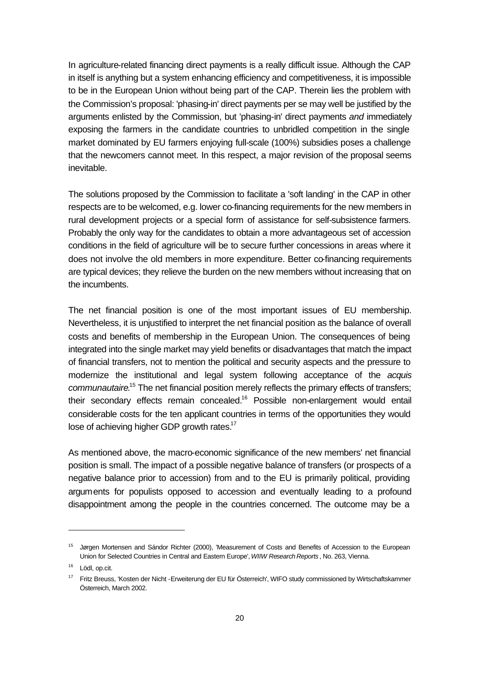In agriculture-related financing direct payments is a really difficult issue. Although the CAP in itself is anything but a system enhancing efficiency and competitiveness, it is impossible to be in the European Union without being part of the CAP. Therein lies the problem with the Commission's proposal: 'phasing-in' direct payments per se may well be justified by the arguments enlisted by the Commission, but 'phasing-in' direct payments *and* immediately exposing the farmers in the candidate countries to unbridled competition in the single market dominated by EU farmers enjoying full-scale (100%) subsidies poses a challenge that the newcomers cannot meet. In this respect, a major revision of the proposal seems inevitable.

The solutions proposed by the Commission to facilitate a 'soft landing' in the CAP in other respects are to be welcomed, e.g. lower co-financing requirements for the new members in rural development projects or a special form of assistance for self-subsistence farmers. Probably the only way for the candidates to obtain a more advantageous set of accession conditions in the field of agriculture will be to secure further concessions in areas where it does not involve the old members in more expenditure. Better co-financing requirements are typical devices; they relieve the burden on the new members without increasing that on the incumbents.

The net financial position is one of the most important issues of EU membership. Nevertheless, it is unjustified to interpret the net financial position as the balance of overall costs and benefits of membership in the European Union. The consequences of being integrated into the single market may yield benefits or disadvantages that match the impact of financial transfers, not to mention the political and security aspects and the pressure to modernize the institutional and legal system following acceptance of the *acquis*  communautaire.<sup>15</sup> The net financial position merely reflects the primary effects of transfers; their secondary effects remain concealed.<sup>16</sup> Possible non-enlargement would entail considerable costs for the ten applicant countries in terms of the opportunities they would lose of achieving higher GDP growth rates.<sup>17</sup>

As mentioned above, the macro-economic significance of the new members' net financial position is small. The impact of a possible negative balance of transfers (or prospects of a negative balance prior to accession) from and to the EU is primarily political, providing arguments for populists opposed to accession and eventually leading to a profound disappointment among the people in the countries concerned. The outcome may be a

<sup>15</sup> Jørgen Mortensen and Sándor Richter (2000), 'Measurement of Costs and Benefits of Accession to the European Union for Selected Countries in Central and Eastern Europe', *WIIW Research Reports* , No. 263, Vienna.

<sup>&</sup>lt;sup>16</sup> Lödl, op.cit.

<sup>&</sup>lt;sup>17</sup> Fritz Breuss, 'Kosten der Nicht -Erweiterung der EU für Österreich', WIFO study commissioned by Wirtschaftskammer Österreich, March 2002.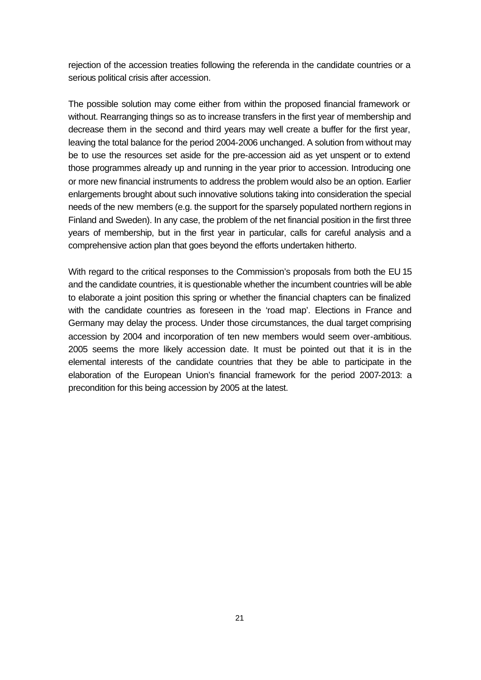rejection of the accession treaties following the referenda in the candidate countries or a serious political crisis after accession.

The possible solution may come either from within the proposed financial framework or without. Rearranging things so as to increase transfers in the first year of membership and decrease them in the second and third years may well create a buffer for the first year, leaving the total balance for the period 2004-2006 unchanged. A solution from without may be to use the resources set aside for the pre-accession aid as yet unspent or to extend those programmes already up and running in the year prior to accession. Introducing one or more new financial instruments to address the problem would also be an option. Earlier enlargements brought about such innovative solutions taking into consideration the special needs of the new members (e.g. the support for the sparsely populated northern regions in Finland and Sweden). In any case, the problem of the net financial position in the first three years of membership, but in the first year in particular, calls for careful analysis and a comprehensive action plan that goes beyond the efforts undertaken hitherto.

With regard to the critical responses to the Commission's proposals from both the EU 15 and the candidate countries, it is questionable whether the incumbent countries will be able to elaborate a joint position this spring or whether the financial chapters can be finalized with the candidate countries as foreseen in the 'road map'. Elections in France and Germany may delay the process. Under those circumstances, the dual target comprising accession by 2004 and incorporation of ten new members would seem over-ambitious. 2005 seems the more likely accession date. It must be pointed out that it is in the elemental interests of the candidate countries that they be able to participate in the elaboration of the European Union's financial framework for the period 2007-2013: a precondition for this being accession by 2005 at the latest.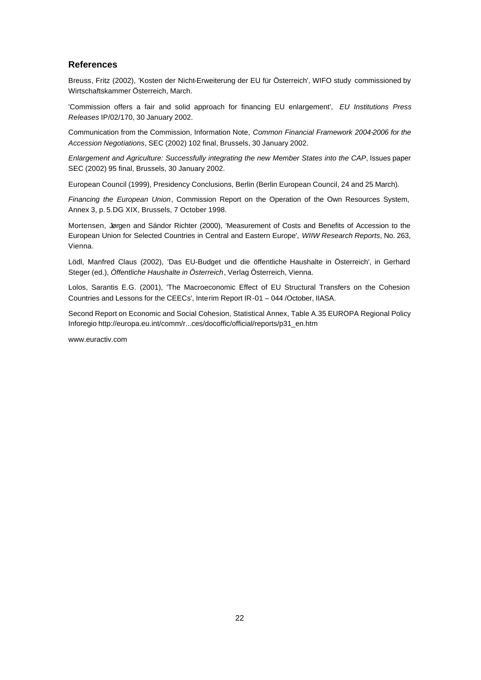#### **References**

Breuss, Fritz (2002), 'Kosten der Nicht-Erweiterung der EU für Österreich', WIFO study commissioned by Wirtschaftskammer Österreich, March.

'Commission offers a fair and solid approach for financing EU enlargement', *EU Institutions Press Releases* IP/02/170, 30 January 2002.

Communication from the Commission, Information Note, *Common Financial Framework 2004-2006 for the Accession Negotiations*, SEC (2002) 102 final, Brussels, 30 January 2002.

*Enlargement and Agriculture: Successfully integrating the new Member States into the CAP*, Issues paper SEC (2002) 95 final, Brussels, 30 January 2002.

European Council (1999), Presidency Conclusions, Berlin (Berlin European Council, 24 and 25 March).

*Financing the European Union*, Commission Report on the Operation of the Own Resources System, Annex 3, p. 5.DG XIX, Brussels, 7 October 1998.

Mortensen, Jørgen and Sándor Richter (2000), 'Measurement of Costs and Benefits of Accession to the European Union for Selected Countries in Central and Eastern Europe', *WIIW Research Reports*, No. 263, Vienna.

Lödl, Manfred Claus (2002), 'Das EU-Budget und die öffentliche Haushalte in Österreich', in Gerhard Steger (ed.), *Öffentliche Haushalte in Österreich*, Verlag Österreich, Vienna.

Lolos, Sarantis E.G. (2001), 'The Macroeconomic Effect of EU Structural Transfers on the Cohesion Countries and Lessons for the CEECs', Interim Report IR-01 – 044 /October, IIASA.

Second Report on Economic and Social Cohesion, Statistical Annex, Table A.35 EUROPA Regional Policy Inforegio http://europa.eu.int/comm/r...ces/docoffic/official/reports/p31\_en.htm

www.euractiv.com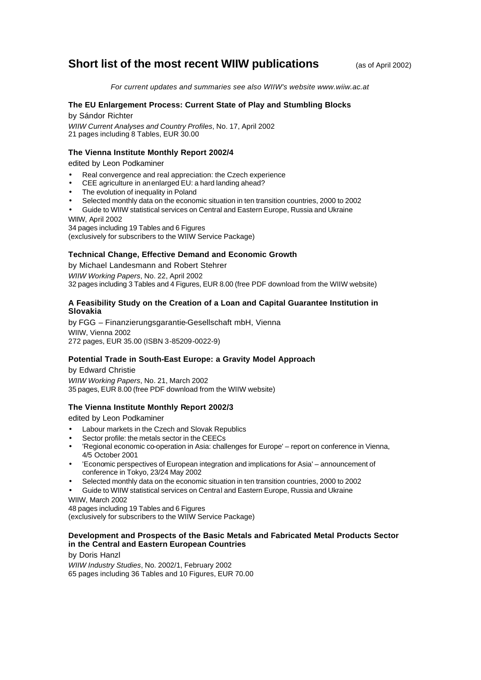## **Short list of the most recent WIIW publications** (as of April 2002)

*For current updates and summaries see also WIIW's website www.wiiw.ac.at*

#### **The EU Enlargement Process: Current State of Play and Stumbling Blocks**

by Sándor Richter *WIIW Current Analyses and Country Profiles*, No. 17, April 2002 21 pages including 8 Tables, EUR 30.00

#### **The Vienna Institute Monthly Report 2002/4**

edited by Leon Podkaminer

- Real convergence and real appreciation: the Czech experience
- CEE agriculture in an enlarged EU: a hard landing ahead?
- The evolution of inequality in Poland
- Selected monthly data on the economic situation in ten transition countries, 2000 to 2002
- Guide to WIIW statistical services on Central and Eastern Europe, Russia and Ukraine WIIW, April 2002

34 pages including 19 Tables and 6 Figures (exclusively for subscribers to the WIIW Service Package)

#### **Technical Change, Effective Demand and Economic Growth**

by Michael Landesmann and Robert Stehrer *WIIW Working Papers*, No. 22, April 2002

32 pages including 3 Tables and 4 Figures, EUR 8.00 (free PDF download from the WIIW website)

#### **A Feasibility Study on the Creation of a Loan and Capital Guarantee Institution in Slovakia**

by FGG – Finanzierungsgarantie-Gesellschaft mbH, Vienna WIIW, Vienna 2002 272 pages, EUR 35.00 (ISBN 3-85209-0022-9)

#### **Potential Trade in South-East Europe: a Gravity Model Approach**

by Edward Christie *WIIW Working Papers*, No. 21, March 2002 35 pages, EUR 8.00 (free PDF download from the WIIW website)

#### **The Vienna Institute Monthly Report 2002/3**

edited by Leon Podkaminer

- Labour markets in the Czech and Slovak Republics
- Sector profile: the metals sector in the CEECs
- 'Regional economic co-operation in Asia: challenges for Europe' report on conference in Vienna, 4/5 October 2001
- 'Economic perspectives of European integration and implications for Asia' announcement of conference in Tokyo, 23/24 May 2002
- Selected monthly data on the economic situation in ten transition countries, 2000 to 2002
- Guide to WIIW statistical services on Central and Eastern Europe, Russia and Ukraine

WIIW, March 2002

48 pages including 19 Tables and 6 Figures (exclusively for subscribers to the WIIW Service Package)

#### **Development and Prospects of the Basic Metals and Fabricated Metal Products Sector in the Central and Eastern European Countries**

by Doris Hanzl *WIIW Industry Studies*, No. 2002/1, February 2002 65 pages including 36 Tables and 10 Figures, EUR 70.00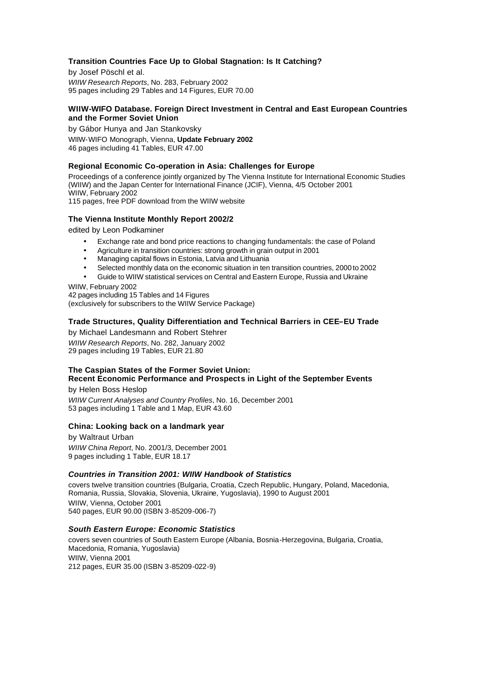#### **Transition Countries Face Up to Global Stagnation: Is It Catching?**

by Josef Pöschl et al. *WIIW Research Reports*, No. 283, February 2002 95 pages including 29 Tables and 14 Figures, EUR 70.00

#### **WIIW-WIFO Database. Foreign Direct Investment in Central and East European Countries and the Former Soviet Union**

by Gábor Hunya and Jan Stankovsky WIIW-WIFO Monograph, Vienna, **Update February 2002** 46 pages including 41 Tables, EUR 47.00

#### **Regional Economic Co-operation in Asia: Challenges for Europe**

Proceedings of a conference jointly organized by The Vienna Institute for International Economic Studies (WIIW) and the Japan Center for International Finance (JCIF), Vienna, 4/5 October 2001 WIIW, February 2002

115 pages, free PDF download from the WIIW website

#### **The Vienna Institute Monthly Report 2002/2**

edited by Leon Podkaminer

- Exchange rate and bond price reactions to changing fundamentals: the case of Poland
- Agriculture in transition countries: strong growth in grain output in 2001
- Managing capital flows in Estonia, Latvia and Lithuania
- Selected monthly data on the economic situation in ten transition countries, 2000 to 2002
- Guide to WIIW statistical services on Central and Eastern Europe, Russia and Ukraine

WIIW, February 2002

42 pages including 15 Tables and 14 Figures (exclusively for subscribers to the WIIW Service Package)

#### **Trade Structures, Quality Differentiation and Technical Barriers in CEE–EU Trade**

by Michael Landesmann and Robert Stehrer *WIIW Research Reports*, No. 282, January 2002 29 pages including 19 Tables, EUR 21.80

### **The Caspian States of the Former Soviet Union: Recent Economic Performance and Prospects in Light of the September Events**

by Helen Boss Heslop

*WIIW Current Analyses and Country Profiles*, No. 16, December 2001 53 pages including 1 Table and 1 Map, EUR 43.60

#### **China: Looking back on a landmark year**

by Waltraut Urban *WIIW China Report*, No. 2001/3, December 2001 9 pages including 1 Table, EUR 18.17

#### *Countries in Transition 2001: WIIW Handbook of Statistics*

covers twelve transition countries (Bulgaria, Croatia, Czech Republic, Hungary, Poland, Macedonia, Romania, Russia, Slovakia, Slovenia, Ukraine, Yugoslavia), 1990 to August 2001 WIIW, Vienna, October 2001 540 pages, EUR 90.00 (ISBN 3-85209-006-7)

#### *South Eastern Europe: Economic Statistics*

covers seven countries of South Eastern Europe (Albania, Bosnia-Herzegovina, Bulgaria, Croatia, Macedonia, Romania, Yugoslavia) WIIW, Vienna 2001 212 pages, EUR 35.00 (ISBN 3-85209-022-9)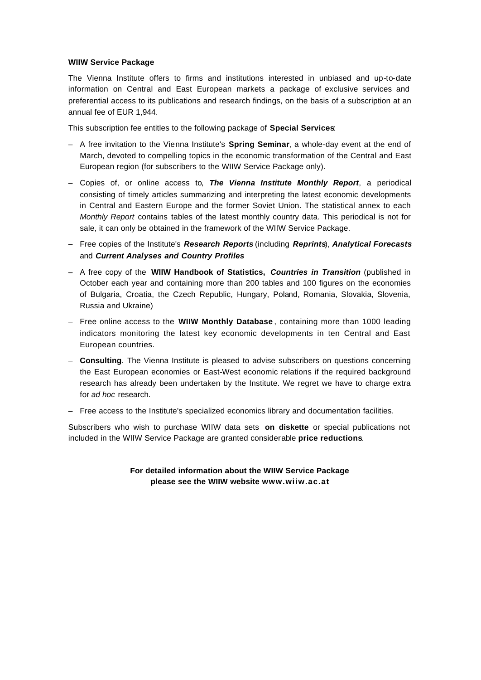#### **WIIW Service Package**

The Vienna Institute offers to firms and institutions interested in unbiased and up-to-date information on Central and East European markets a package of exclusive services and preferential access to its publications and research findings, on the basis of a subscription at an annual fee of EUR 1,944.

This subscription fee entitles to the following package of **Special Services**:

- A free invitation to the Vienna Institute's **Spring Seminar**, a whole-day event at the end of March, devoted to compelling topics in the economic transformation of the Central and East European region (for subscribers to the WIIW Service Package only).
- Copies of, or online access to, *The Vienna Institute Monthly Report*, a periodical consisting of timely articles summarizing and interpreting the latest economic developments in Central and Eastern Europe and the former Soviet Union. The statistical annex to each *Monthly Report* contains tables of the latest monthly country data. This periodical is not for sale, it can only be obtained in the framework of the WIIW Service Package.
- Free copies of the Institute's *Research Reports* (including *Reprints*), *Analytical Forecasts* and *Current Analyses and Country Profiles*
- A free copy of the **WIIW Handbook of Statistics,** *Countries in Transition* (published in October each year and containing more than 200 tables and 100 figures on the economies of Bulgaria, Croatia, the Czech Republic, Hungary, Poland, Romania, Slovakia, Slovenia, Russia and Ukraine)
- Free online access to the **WIIW Monthly Database** , containing more than 1000 leading indicators monitoring the latest key economic developments in ten Central and East European countries.
- **Consulting**. The Vienna Institute is pleased to advise subscribers on questions concerning the East European economies or East-West economic relations if the required background research has already been undertaken by the Institute. We regret we have to charge extra for *ad hoc* research.
- Free access to the Institute's specialized economics library and documentation facilities.

Subscribers who wish to purchase WIIW data sets **on diskette** or special publications not included in the WIIW Service Package are granted considerable **price reductions**.

> **For detailed information about the WIIW Service Package please see the WIIW website www.wiiw.ac.at**